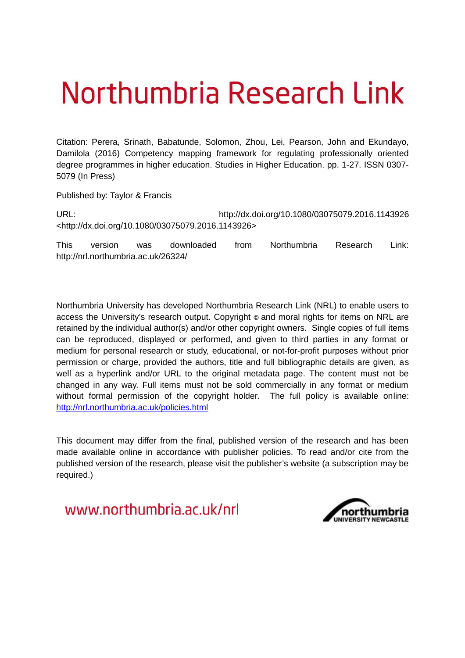# Northumbria Research Link

Citation: Perera, Srinath, Babatunde, Solomon, Zhou, Lei, Pearson, John and Ekundayo, Damilola (2016) Competency mapping framework for regulating professionally oriented degree programmes in higher education. Studies in Higher Education. pp. 1-27. ISSN 0307- 5079 (In Press)

Published by: Taylor & Francis

URL: http://dx.doi.org/10.1080/03075079.2016.1143926 <http://dx.doi.org/10.1080/03075079.2016.1143926>

This version was downloaded from Northumbria Research Link: http://nrl.northumbria.ac.uk/26324/

Northumbria University has developed Northumbria Research Link (NRL) to enable users to access the University's research output. Copyright  $\circ$  and moral rights for items on NRL are retained by the individual author(s) and/or other copyright owners. Single copies of full items can be reproduced, displayed or performed, and given to third parties in any format or medium for personal research or study, educational, or not-for-profit purposes without prior permission or charge, provided the authors, title and full bibliographic details are given, as well as a hyperlink and/or URL to the original metadata page. The content must not be changed in any way. Full items must not be sold commercially in any format or medium without formal permission of the copyright holder. The full policy is available online: <http://nrl.northumbria.ac.uk/policies.html>

This document may differ from the final, published version of the research and has been made available online in accordance with publisher policies. To read and/or cite from the published version of the research, please visit the publisher's website (a subscription may be required.)

www.northumbria.ac.uk/nrl

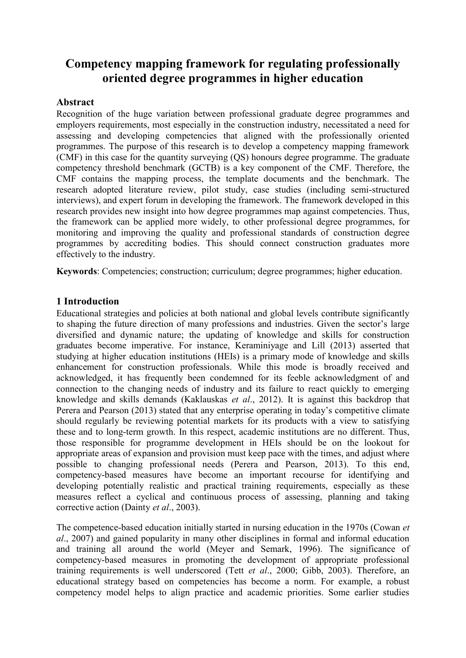## **Competency mapping framework for regulating professionally oriented degree programmes in higher education**

### **Abstract**

Recognition of the huge variation between professional graduate degree programmes and employers requirements, most especially in the construction industry, necessitated a need for assessing and developing competencies that aligned with the professionally oriented programmes. The purpose of this research is to develop a competency mapping framework (CMF) in this case for the quantity surveying (QS) honours degree programme. The graduate competency threshold benchmark (GCTB) is a key component of the CMF. Therefore, the CMF contains the mapping process, the template documents and the benchmark. The research adopted literature review, pilot study, case studies (including semi-structured interviews), and expert forum in developing the framework. The framework developed in this research provides new insight into how degree programmes map against competencies. Thus, the framework can be applied more widely, to other professional degree programmes, for monitoring and improving the quality and professional standards of construction degree programmes by accrediting bodies. This should connect construction graduates more effectively to the industry.

**Keywords**: Competencies; construction; curriculum; degree programmes; higher education.

## **1 Introduction**

Educational strategies and policies at both national and global levels contribute significantly to shaping the future direction of many professions and industries. Given the sector's large diversified and dynamic nature; the updating of knowledge and skills for construction graduates become imperative. For instance, Keraminiyage and Lill (2013) asserted that studying at higher education institutions (HEIs) is a primary mode of knowledge and skills enhancement for construction professionals. While this mode is broadly received and acknowledged, it has frequently been condemned for its feeble acknowledgment of and connection to the changing needs of industry and its failure to react quickly to emerging knowledge and skills demands (Kaklauskas *et al*., 2012). It is against this backdrop that Perera and Pearson (2013) stated that any enterprise operating in today's competitive climate should regularly be reviewing potential markets for its products with a view to satisfying these and to long-term growth. In this respect, academic institutions are no different. Thus, those responsible for programme development in HEIs should be on the lookout for appropriate areas of expansion and provision must keep pace with the times, and adjust where possible to changing professional needs (Perera and Pearson, 2013). To this end, competency-based measures have become an important recourse for identifying and developing potentially realistic and practical training requirements, especially as these measures reflect a cyclical and continuous process of assessing, planning and taking corrective action (Dainty *et al*., 2003).

The competence-based education initially started in nursing education in the 1970s (Cowan *et al*., 2007) and gained popularity in many other disciplines in formal and informal education and training all around the world (Meyer and Semark, 1996). The significance of competency-based measures in promoting the development of appropriate professional training requirements is well underscored (Tett *et al*., 2000; Gibb, 2003). Therefore, an educational strategy based on competencies has become a norm. For example, a robust competency model helps to align practice and academic priorities. Some earlier studies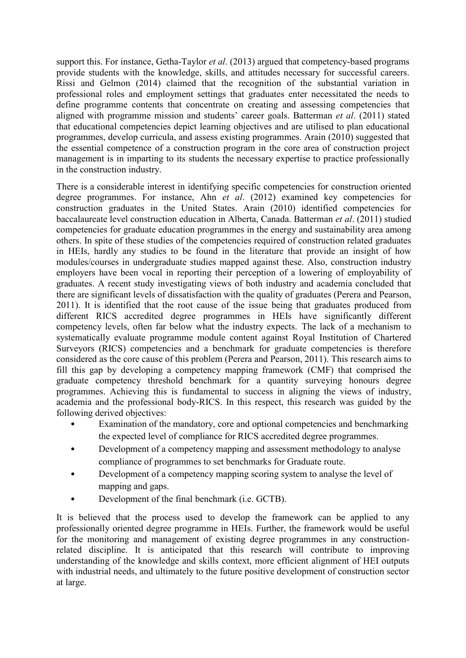support this. For instance, Getha-Taylor *et al*. (2013) argued that competency-based programs provide students with the knowledge, skills, and attitudes necessary for successful careers. Rissi and Gelmon (2014) claimed that the recognition of the substantial variation in professional roles and employment settings that graduates enter necessitated the needs to define programme contents that concentrate on creating and assessing competencies that aligned with programme mission and students' career goals. Batterman *et al*. (2011) stated that educational competencies depict learning objectives and are utilised to plan educational programmes, develop curricula, and assess existing programmes. Arain (2010) suggested that the essential competence of a construction program in the core area of construction project management is in imparting to its students the necessary expertise to practice professionally in the construction industry.

There is a considerable interest in identifying specific competencies for construction oriented degree programmes. For instance, Ahn *et al*. (2012) examined key competencies for construction graduates in the United States. Arain (2010) identified competencies for baccalaureate level construction education in Alberta, Canada. Batterman *et al*. (2011) studied competencies for graduate education programmes in the energy and sustainability area among others. In spite of these studies of the competencies required of construction related graduates in HEIs, hardly any studies to be found in the literature that provide an insight of how modules/courses in undergraduate studies mapped against these. Also, construction industry employers have been vocal in reporting their perception of a lowering of employability of graduates. A recent study investigating views of both industry and academia concluded that there are significant levels of dissatisfaction with the quality of graduates (Perera and Pearson, 2011). It is identified that the root cause of the issue being that graduates produced from different RICS accredited degree programmes in HEIs have significantly different competency levels, often far below what the industry expects. The lack of a mechanism to systematically evaluate programme module content against Royal Institution of Chartered Surveyors (RICS) competencies and a benchmark for graduate competencies is therefore considered as the core cause of this problem (Perera and Pearson, 2011). This research aims to fill this gap by developing a competency mapping framework (CMF) that comprised the graduate competency threshold benchmark for a quantity surveying honours degree programmes. Achieving this is fundamental to success in aligning the views of industry, academia and the professional body-RICS. In this respect, this research was guided by the following derived objectives:

- Examination of the mandatory, core and optional competencies and benchmarking the expected level of compliance for RICS accredited degree programmes.
- Development of a competency mapping and assessment methodology to analyse compliance of programmes to set benchmarks for Graduate route.
- Development of a competency mapping scoring system to analyse the level of mapping and gaps.
- Development of the final benchmark (i.e. GCTB).

It is believed that the process used to develop the framework can be applied to any professionally oriented degree programme in HEIs. Further, the framework would be useful for the monitoring and management of existing degree programmes in any constructionrelated discipline. It is anticipated that this research will contribute to improving understanding of the knowledge and skills context, more efficient alignment of HEI outputs with industrial needs, and ultimately to the future positive development of construction sector at large.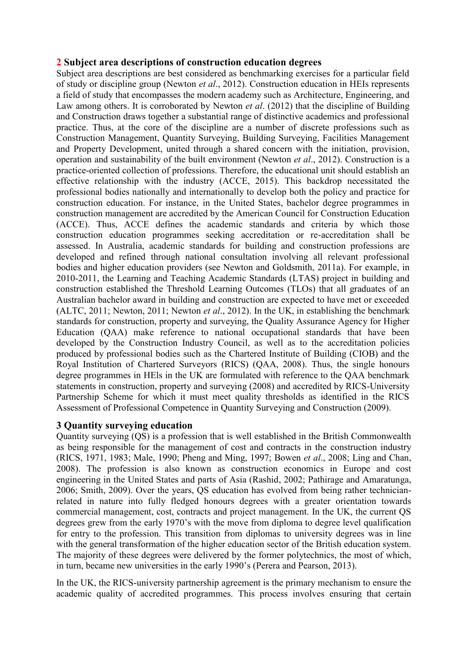## **2 Subject area descriptions of construction education degrees**

Subject area descriptions are best considered as benchmarking exercises for a particular field of study or discipline group (Newton *et al*., 2012). Construction education in HEIs represents a field of study that encompasses the modern academy such as Architecture, Engineering, and Law among others. It is corroborated by Newton *et al*. (2012) that the discipline of Building and Construction draws together a substantial range of distinctive academics and professional practice. Thus, at the core of the discipline are a number of discrete professions such as Construction Management, Quantity Surveying, Building Surveying, Facilities Management and Property Development, united through a shared concern with the initiation, provision, operation and sustainability of the built environment (Newton *et al*., 2012). Construction is a practice-oriented collection of professions. Therefore, the educational unit should establish an effective relationship with the industry (ACCE, 2015). This backdrop necessitated the professional bodies nationally and internationally to develop both the policy and practice for construction education. For instance, in the United States, bachelor degree programmes in construction management are accredited by the American Council for Construction Education (ACCE). Thus, ACCE defines the academic standards and criteria by which those construction education programmes seeking accreditation or re-accreditation shall be assessed. In Australia, academic standards for building and construction professions are developed and refined through national consultation involving all relevant professional bodies and higher education providers (see Newton and Goldsmith, 2011a). For example, in 2010-2011, the Learning and Teaching Academic Standards (LTAS) project in building and construction established the Threshold Learning Outcomes (TLOs) that all graduates of an Australian bachelor award in building and construction are expected to have met or exceeded (ALTC, 2011; Newton, 2011; Newton *et al*., 2012). In the UK, in establishing the benchmark standards for construction, property and surveying, the Quality Assurance Agency for Higher Education (QAA) make reference to national occupational standards that have been developed by the Construction Industry Council, as well as to the accreditation policies produced by professional bodies such as the Chartered Institute of Building (CIOB) and the Royal Institution of Chartered Surveyors (RICS) (QAA, 2008). Thus, the single honours degree programmes in HEls in the UK are formulated with reference to the QAA benchmark statements in construction, property and surveying (2008) and accredited by RICS-University Partnership Scheme for which it must meet quality thresholds as identified in the RICS Assessment of Professional Competence in Quantity Surveying and Construction (2009).

## **3 Quantity surveying education**

Quantity surveying (QS) is a profession that is well established in the British Commonwealth as being responsible for the management of cost and contracts in the construction industry (RICS, 1971, 1983; Male, 1990; Pheng and Ming, 1997; Bowen *et al*., 2008; Ling and Chan, 2008). The profession is also known as construction economics in Europe and cost engineering in the United States and parts of Asia (Rashid, 2002; Pathirage and Amaratunga, 2006; Smith, 2009). Over the years, QS education has evolved from being rather technicianrelated in nature into fully fledged honours degrees with a greater orientation towards commercial management, cost, contracts and project management. In the UK, the current QS degrees grew from the early 1970's with the move from diploma to degree level qualification for entry to the profession. This transition from diplomas to university degrees was in line with the general transformation of the higher education sector of the British education system. The majority of these degrees were delivered by the former polytechnics, the most of which, in turn, became new universities in the early 1990's (Perera and Pearson, 2013).

In the UK, the RICS-university partnership agreement is the primary mechanism to ensure the academic quality of accredited programmes. This process involves ensuring that certain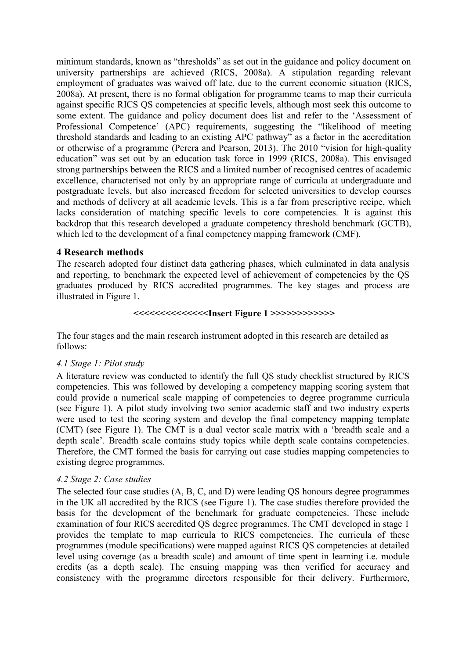minimum standards, known as "thresholds" as set out in the guidance and policy document on university partnerships are achieved (RICS, 2008a). A stipulation regarding relevant employment of graduates was waived off late, due to the current economic situation (RICS, 2008a). At present, there is no formal obligation for programme teams to map their curricula against specific RICS QS competencies at specific levels, although most seek this outcome to some extent. The guidance and policy document does list and refer to the 'Assessment of Professional Competence' (APC) requirements, suggesting the "likelihood of meeting threshold standards and leading to an existing APC pathway" as a factor in the accreditation or otherwise of a programme (Perera and Pearson, 2013). The 2010 "vision for high-quality education" was set out by an education task force in 1999 (RICS, 2008a). This envisaged strong partnerships between the RICS and a limited number of recognised centres of academic excellence, characterised not only by an appropriate range of curricula at undergraduate and postgraduate levels, but also increased freedom for selected universities to develop courses and methods of delivery at all academic levels. This is a far from prescriptive recipe, which lacks consideration of matching specific levels to core competencies. It is against this backdrop that this research developed a graduate competency threshold benchmark (GCTB), which led to the development of a final competency mapping framework (CMF).

#### **4 Research methods**

The research adopted four distinct data gathering phases, which culminated in data analysis and reporting, to benchmark the expected level of achievement of competencies by the QS graduates produced by RICS accredited programmes. The key stages and process are illustrated in Figure 1.

#### **<<<<<<<<<<<<<<Insert Figure 1 >>>>>>>>>>>>**

The four stages and the main research instrument adopted in this research are detailed as follows:

#### *4.1 Stage 1: Pilot study*

A literature review was conducted to identify the full QS study checklist structured by RICS competencies. This was followed by developing a competency mapping scoring system that could provide a numerical scale mapping of competencies to degree programme curricula (see Figure 1). A pilot study involving two senior academic staff and two industry experts were used to test the scoring system and develop the final competency mapping template (CMT) (see Figure 1). The CMT is a dual vector scale matrix with a 'breadth scale and a depth scale'. Breadth scale contains study topics while depth scale contains competencies. Therefore, the CMT formed the basis for carrying out case studies mapping competencies to existing degree programmes.

#### *4.2 Stage 2: Case studies*

The selected four case studies (A, B, C, and D) were leading QS honours degree programmes in the UK all accredited by the RICS (see Figure 1). The case studies therefore provided the basis for the development of the benchmark for graduate competencies. These include examination of four RICS accredited QS degree programmes. The CMT developed in stage 1 provides the template to map curricula to RICS competencies. The curricula of these programmes (module specifications) were mapped against RICS QS competencies at detailed level using coverage (as a breadth scale) and amount of time spent in learning i.e. module credits (as a depth scale). The ensuing mapping was then verified for accuracy and consistency with the programme directors responsible for their delivery. Furthermore,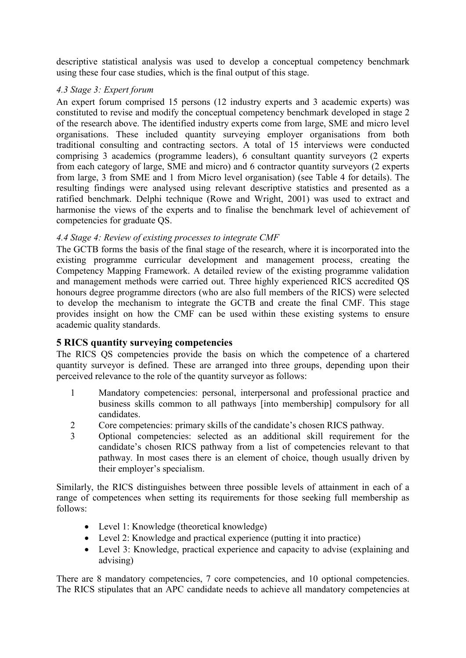descriptive statistical analysis was used to develop a conceptual competency benchmark using these four case studies, which is the final output of this stage.

## *4.3 Stage 3: Expert forum*

An expert forum comprised 15 persons (12 industry experts and 3 academic experts) was constituted to revise and modify the conceptual competency benchmark developed in stage 2 of the research above. The identified industry experts come from large, SME and micro level organisations. These included quantity surveying employer organisations from both traditional consulting and contracting sectors. A total of 15 interviews were conducted comprising 3 academics (programme leaders), 6 consultant quantity surveyors (2 experts from each category of large, SME and micro) and 6 contractor quantity surveyors (2 experts from large, 3 from SME and 1 from Micro level organisation) (see Table 4 for details). The resulting findings were analysed using relevant descriptive statistics and presented as a ratified benchmark. Delphi technique (Rowe and Wright, 2001) was used to extract and harmonise the views of the experts and to finalise the benchmark level of achievement of competencies for graduate QS.

## *4.4 Stage 4: Review of existing processes to integrate CMF*

The GCTB forms the basis of the final stage of the research, where it is incorporated into the existing programme curricular development and management process, creating the Competency Mapping Framework. A detailed review of the existing programme validation and management methods were carried out. Three highly experienced RICS accredited QS honours degree programme directors (who are also full members of the RICS) were selected to develop the mechanism to integrate the GCTB and create the final CMF. This stage provides insight on how the CMF can be used within these existing systems to ensure academic quality standards.

## **5 RICS quantity surveying competencies**

The RICS QS competencies provide the basis on which the competence of a chartered quantity surveyor is defined. These are arranged into three groups, depending upon their perceived relevance to the role of the quantity surveyor as follows:

- 1 Mandatory competencies: personal, interpersonal and professional practice and business skills common to all pathways [into membership] compulsory for all candidates.
- 2 Core competencies: primary skills of the candidate's chosen RICS pathway.
- 3 Optional competencies: selected as an additional skill requirement for the candidate's chosen RICS pathway from a list of competencies relevant to that pathway. In most cases there is an element of choice, though usually driven by their employer's specialism.

Similarly, the RICS distinguishes between three possible levels of attainment in each of a range of competences when setting its requirements for those seeking full membership as follows:

- Level 1: Knowledge (theoretical knowledge)
- Level 2: Knowledge and practical experience (putting it into practice)
- Level 3: Knowledge, practical experience and capacity to advise (explaining and advising)

There are 8 mandatory competencies, 7 core competencies, and 10 optional competencies. The RICS stipulates that an APC candidate needs to achieve all mandatory competencies at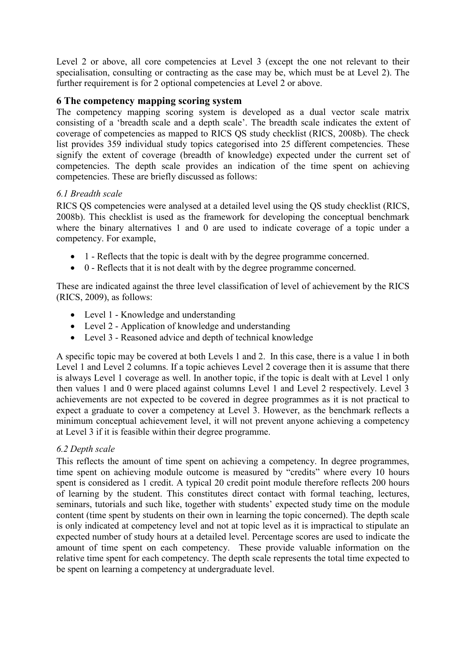Level 2 or above, all core competencies at Level 3 (except the one not relevant to their specialisation, consulting or contracting as the case may be, which must be at Level 2). The further requirement is for 2 optional competencies at Level 2 or above.

## **6 The competency mapping scoring system**

The competency mapping scoring system is developed as a dual vector scale matrix consisting of a 'breadth scale and a depth scale'. The breadth scale indicates the extent of coverage of competencies as mapped to RICS QS study checklist (RICS, 2008b). The check list provides 359 individual study topics categorised into 25 different competencies. These signify the extent of coverage (breadth of knowledge) expected under the current set of competencies. The depth scale provides an indication of the time spent on achieving competencies. These are briefly discussed as follows:

## *6.1 Breadth scale*

RICS QS competencies were analysed at a detailed level using the QS study checklist (RICS, 2008b). This checklist is used as the framework for developing the conceptual benchmark where the binary alternatives 1 and 0 are used to indicate coverage of a topic under a competency. For example,

- 1 Reflects that the topic is dealt with by the degree programme concerned.
- 0 Reflects that it is not dealt with by the degree programme concerned.

These are indicated against the three level classification of level of achievement by the RICS (RICS, 2009), as follows:

- Level 1 Knowledge and understanding
- Level 2 Application of knowledge and understanding
- Level 3 Reasoned advice and depth of technical knowledge

A specific topic may be covered at both Levels 1 and 2. In this case, there is a value 1 in both Level 1 and Level 2 columns. If a topic achieves Level 2 coverage then it is assume that there is always Level 1 coverage as well. In another topic, if the topic is dealt with at Level 1 only then values 1 and 0 were placed against columns Level 1 and Level 2 respectively. Level 3 achievements are not expected to be covered in degree programmes as it is not practical to expect a graduate to cover a competency at Level 3. However, as the benchmark reflects a minimum conceptual achievement level, it will not prevent anyone achieving a competency at Level 3 if it is feasible within their degree programme.

## *6.2 Depth scale*

This reflects the amount of time spent on achieving a competency. In degree programmes, time spent on achieving module outcome is measured by "credits" where every 10 hours spent is considered as 1 credit. A typical 20 credit point module therefore reflects 200 hours of learning by the student. This constitutes direct contact with formal teaching, lectures, seminars, tutorials and such like, together with students' expected study time on the module content (time spent by students on their own in learning the topic concerned). The depth scale is only indicated at competency level and not at topic level as it is impractical to stipulate an expected number of study hours at a detailed level. Percentage scores are used to indicate the amount of time spent on each competency. These provide valuable information on the relative time spent for each competency. The depth scale represents the total time expected to be spent on learning a competency at undergraduate level.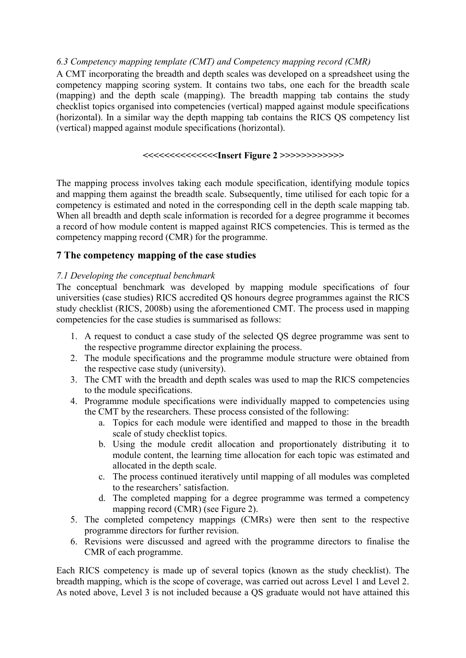## *6.3 Competency mapping template (CMT) and Competency mapping record (CMR)*

A CMT incorporating the breadth and depth scales was developed on a spreadsheet using the competency mapping scoring system. It contains two tabs, one each for the breadth scale (mapping) and the depth scale (mapping). The breadth mapping tab contains the study checklist topics organised into competencies (vertical) mapped against module specifications (horizontal). In a similar way the depth mapping tab contains the RICS QS competency list (vertical) mapped against module specifications (horizontal).

#### **<<<<<<<<<<<<<<Insert Figure 2 >>>>>>>>>>>>**

The mapping process involves taking each module specification, identifying module topics and mapping them against the breadth scale. Subsequently, time utilised for each topic for a competency is estimated and noted in the corresponding cell in the depth scale mapping tab. When all breadth and depth scale information is recorded for a degree programme it becomes a record of how module content is mapped against RICS competencies. This is termed as the competency mapping record (CMR) for the programme.

## **7 The competency mapping of the case studies**

## *7.1 Developing the conceptual benchmark*

The conceptual benchmark was developed by mapping module specifications of four universities (case studies) RICS accredited QS honours degree programmes against the RICS study checklist (RICS, 2008b) using the aforementioned CMT. The process used in mapping competencies for the case studies is summarised as follows:

- 1. A request to conduct a case study of the selected QS degree programme was sent to the respective programme director explaining the process.
- 2. The module specifications and the programme module structure were obtained from the respective case study (university).
- 3. The CMT with the breadth and depth scales was used to map the RICS competencies to the module specifications.
- 4. Programme module specifications were individually mapped to competencies using the CMT by the researchers. These process consisted of the following:
	- a. Topics for each module were identified and mapped to those in the breadth scale of study checklist topics.
	- b. Using the module credit allocation and proportionately distributing it to module content, the learning time allocation for each topic was estimated and allocated in the depth scale.
	- c. The process continued iteratively until mapping of all modules was completed to the researchers' satisfaction.
	- d. The completed mapping for a degree programme was termed a competency mapping record (CMR) (see Figure 2).
- 5. The completed competency mappings (CMRs) were then sent to the respective programme directors for further revision.
- 6. Revisions were discussed and agreed with the programme directors to finalise the CMR of each programme.

Each RICS competency is made up of several topics (known as the study checklist). The breadth mapping, which is the scope of coverage, was carried out across Level 1 and Level 2. As noted above, Level 3 is not included because a QS graduate would not have attained this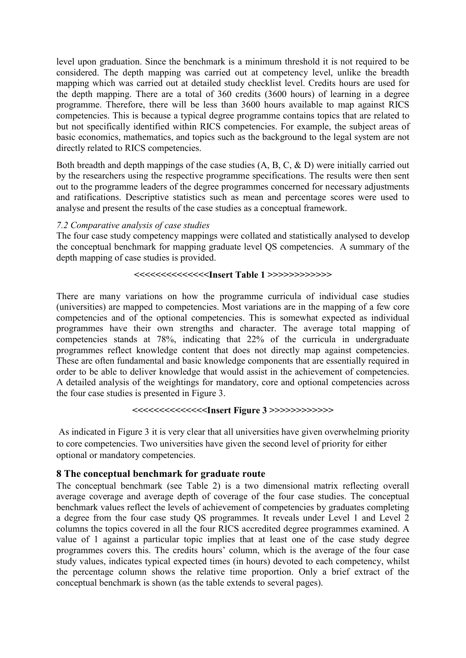level upon graduation. Since the benchmark is a minimum threshold it is not required to be considered. The depth mapping was carried out at competency level, unlike the breadth mapping which was carried out at detailed study checklist level. Credits hours are used for the depth mapping. There are a total of 360 credits (3600 hours) of learning in a degree programme. Therefore, there will be less than 3600 hours available to map against RICS competencies. This is because a typical degree programme contains topics that are related to but not specifically identified within RICS competencies. For example, the subject areas of basic economics, mathematics, and topics such as the background to the legal system are not directly related to RICS competencies.

Both breadth and depth mappings of the case studies (A, B, C, & D) were initially carried out by the researchers using the respective programme specifications. The results were then sent out to the programme leaders of the degree programmes concerned for necessary adjustments and ratifications. Descriptive statistics such as mean and percentage scores were used to analyse and present the results of the case studies as a conceptual framework.

#### *7.2 Comparative analysis of case studies*

The four case study competency mappings were collated and statistically analysed to develop the conceptual benchmark for mapping graduate level QS competencies. A summary of the depth mapping of case studies is provided.

#### **<<<<<<<<<<<<<<Insert Table 1 >>>>>>>>>>>>**

There are many variations on how the programme curricula of individual case studies (universities) are mapped to competencies. Most variations are in the mapping of a few core competencies and of the optional competencies. This is somewhat expected as individual programmes have their own strengths and character. The average total mapping of competencies stands at 78%, indicating that 22% of the curricula in undergraduate programmes reflect knowledge content that does not directly map against competencies. These are often fundamental and basic knowledge components that are essentially required in order to be able to deliver knowledge that would assist in the achievement of competencies. A detailed analysis of the weightings for mandatory, core and optional competencies across the four case studies is presented in Figure 3.

#### **<<<<<<<<<<<<<<Insert Figure 3 >>>>>>>>>>>>**

 As indicated in Figure 3 it is very clear that all universities have given overwhelming priority to core competencies. Two universities have given the second level of priority for either optional or mandatory competencies.

#### **8 The conceptual benchmark for graduate route**

The conceptual benchmark (see Table 2) is a two dimensional matrix reflecting overall average coverage and average depth of coverage of the four case studies. The conceptual benchmark values reflect the levels of achievement of competencies by graduates completing a degree from the four case study QS programmes. It reveals under Level 1 and Level 2 columns the topics covered in all the four RICS accredited degree programmes examined. A value of 1 against a particular topic implies that at least one of the case study degree programmes covers this. The credits hours' column, which is the average of the four case study values, indicates typical expected times (in hours) devoted to each competency, whilst the percentage column shows the relative time proportion. Only a brief extract of the conceptual benchmark is shown (as the table extends to several pages).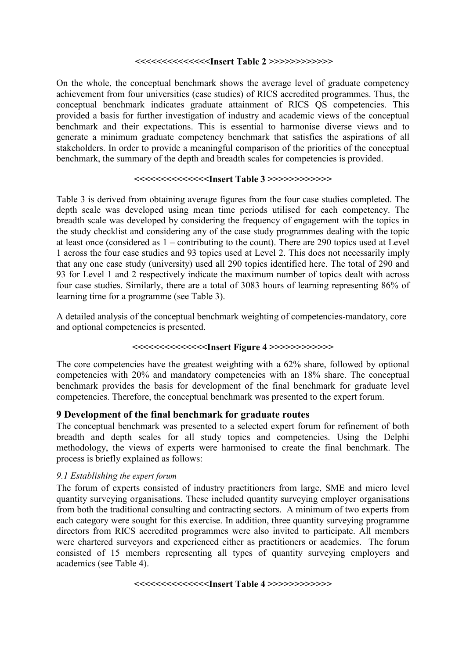#### **<<<<<<<<<<<<<<Insert Table 2 >>>>>>>>>>>>**

On the whole, the conceptual benchmark shows the average level of graduate competency achievement from four universities (case studies) of RICS accredited programmes. Thus, the conceptual benchmark indicates graduate attainment of RICS QS competencies. This provided a basis for further investigation of industry and academic views of the conceptual benchmark and their expectations. This is essential to harmonise diverse views and to generate a minimum graduate competency benchmark that satisfies the aspirations of all stakeholders. In order to provide a meaningful comparison of the priorities of the conceptual benchmark, the summary of the depth and breadth scales for competencies is provided.

#### **<<<<<<<<<<<<<<Insert Table 3 >>>>>>>>>>>>**

Table 3 is derived from obtaining average figures from the four case studies completed. The depth scale was developed using mean time periods utilised for each competency. The breadth scale was developed by considering the frequency of engagement with the topics in the study checklist and considering any of the case study programmes dealing with the topic at least once (considered as 1 – contributing to the count). There are 290 topics used at Level 1 across the four case studies and 93 topics used at Level 2. This does not necessarily imply that any one case study (university) used all 290 topics identified here. The total of 290 and 93 for Level 1 and 2 respectively indicate the maximum number of topics dealt with across four case studies. Similarly, there are a total of 3083 hours of learning representing 86% of learning time for a programme (see Table 3).

A detailed analysis of the conceptual benchmark weighting of competencies-mandatory, core and optional competencies is presented.

## **<<<<<<<<<<<<<<Insert Figure 4 >>>>>>>>>>>>**

The core competencies have the greatest weighting with a 62% share, followed by optional competencies with 20% and mandatory competencies with an 18% share. The conceptual benchmark provides the basis for development of the final benchmark for graduate level competencies. Therefore, the conceptual benchmark was presented to the expert forum.

## **9 Development of the final benchmark for graduate routes**

The conceptual benchmark was presented to a selected expert forum for refinement of both breadth and depth scales for all study topics and competencies. Using the Delphi methodology, the views of experts were harmonised to create the final benchmark. The process is briefly explained as follows:

#### *9.1 Establishing the expert forum*

The forum of experts consisted of industry practitioners from large, SME and micro level quantity surveying organisations. These included quantity surveying employer organisations from both the traditional consulting and contracting sectors. A minimum of two experts from each category were sought for this exercise. In addition, three quantity surveying programme directors from RICS accredited programmes were also invited to participate. All members were chartered surveyors and experienced either as practitioners or academics. The forum consisted of 15 members representing all types of quantity surveying employers and academics (see Table 4).

**<<<<<<<<<<<<<<Insert Table 4 >>>>>>>>>>>>**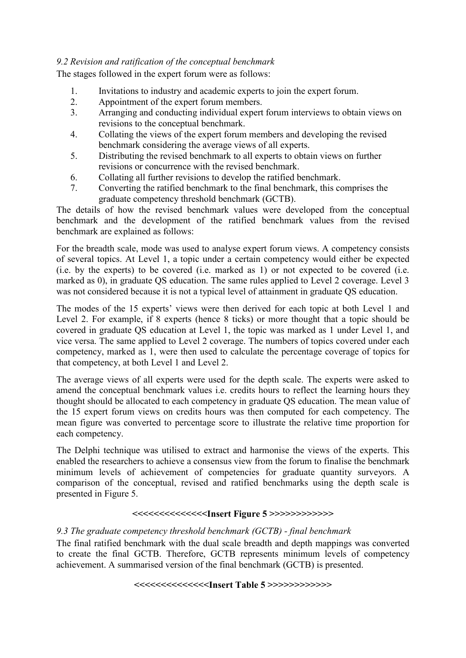## *9.2 Revision and ratification of the conceptual benchmark*

The stages followed in the expert forum were as follows:

- 1. Invitations to industry and academic experts to join the expert forum.
- 2. Appointment of the expert forum members.
- 3. Arranging and conducting individual expert forum interviews to obtain views on revisions to the conceptual benchmark.
- 4. Collating the views of the expert forum members and developing the revised benchmark considering the average views of all experts.
- 5. Distributing the revised benchmark to all experts to obtain views on further revisions or concurrence with the revised benchmark.
- 6. Collating all further revisions to develop the ratified benchmark.
- 7. Converting the ratified benchmark to the final benchmark, this comprises the graduate competency threshold benchmark (GCTB).

The details of how the revised benchmark values were developed from the conceptual benchmark and the development of the ratified benchmark values from the revised benchmark are explained as follows:

For the breadth scale, mode was used to analyse expert forum views. A competency consists of several topics. At Level 1, a topic under a certain competency would either be expected (i.e. by the experts) to be covered (i.e. marked as 1) or not expected to be covered (i.e. marked as 0), in graduate OS education. The same rules applied to Level 2 coverage. Level 3 was not considered because it is not a typical level of attainment in graduate QS education.

The modes of the 15 experts' views were then derived for each topic at both Level 1 and Level 2. For example, if 8 experts (hence 8 ticks) or more thought that a topic should be covered in graduate QS education at Level 1, the topic was marked as 1 under Level 1, and vice versa. The same applied to Level 2 coverage. The numbers of topics covered under each competency, marked as 1, were then used to calculate the percentage coverage of topics for that competency, at both Level 1 and Level 2.

The average views of all experts were used for the depth scale. The experts were asked to amend the conceptual benchmark values i.e. credits hours to reflect the learning hours they thought should be allocated to each competency in graduate QS education. The mean value of the 15 expert forum views on credits hours was then computed for each competency. The mean figure was converted to percentage score to illustrate the relative time proportion for each competency.

The Delphi technique was utilised to extract and harmonise the views of the experts. This enabled the researchers to achieve a consensus view from the forum to finalise the benchmark minimum levels of achievement of competencies for graduate quantity surveyors. A comparison of the conceptual, revised and ratified benchmarks using the depth scale is presented in Figure 5.

## **<<<<<<<<<<<<<<Insert Figure 5 >>>>>>>>>>>>**

## *9.3 The graduate competency threshold benchmark (GCTB) - final benchmark*

The final ratified benchmark with the dual scale breadth and depth mappings was converted to create the final GCTB. Therefore, GCTB represents minimum levels of competency achievement. A summarised version of the final benchmark (GCTB) is presented.

#### **<<<<<<<<<<<<<<Insert Table 5 >>>>>>>>>>>>**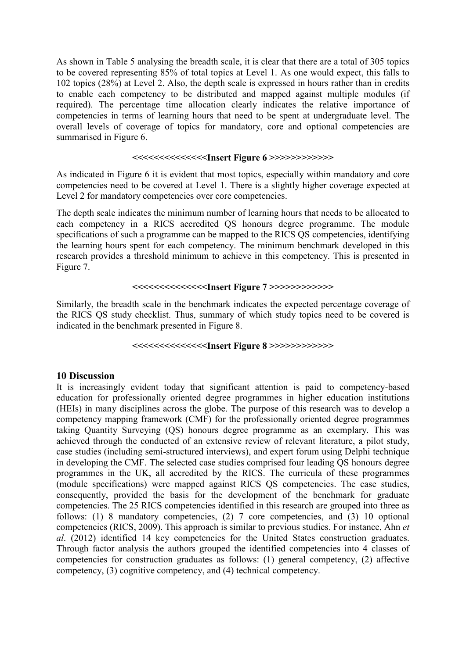As shown in Table 5 analysing the breadth scale, it is clear that there are a total of 305 topics to be covered representing 85% of total topics at Level 1. As one would expect, this falls to 102 topics (28%) at Level 2. Also, the depth scale is expressed in hours rather than in credits to enable each competency to be distributed and mapped against multiple modules (if required). The percentage time allocation clearly indicates the relative importance of competencies in terms of learning hours that need to be spent at undergraduate level. The overall levels of coverage of topics for mandatory, core and optional competencies are summarised in Figure 6.

#### **<<<<<<<<<<<<<<Insert Figure 6 >>>>>>>>>>>>**

As indicated in Figure 6 it is evident that most topics, especially within mandatory and core competencies need to be covered at Level 1. There is a slightly higher coverage expected at Level 2 for mandatory competencies over core competencies.

The depth scale indicates the minimum number of learning hours that needs to be allocated to each competency in a RICS accredited QS honours degree programme. The module specifications of such a programme can be mapped to the RICS QS competencies, identifying the learning hours spent for each competency. The minimum benchmark developed in this research provides a threshold minimum to achieve in this competency. This is presented in Figure 7.

#### **<<<<<<<<<<<<<<Insert Figure 7 >>>>>>>>>>>>**

Similarly, the breadth scale in the benchmark indicates the expected percentage coverage of the RICS QS study checklist. Thus, summary of which study topics need to be covered is indicated in the benchmark presented in Figure 8.

#### **<<<<<<<<<<<<<<Insert Figure 8 >>>>>>>>>>>>**

#### **10 Discussion**

It is increasingly evident today that significant attention is paid to competency-based education for professionally oriented degree programmes in higher education institutions (HEIs) in many disciplines across the globe. The purpose of this research was to develop a competency mapping framework (CMF) for the professionally oriented degree programmes taking Quantity Surveying (QS) honours degree programme as an exemplary. This was achieved through the conducted of an extensive review of relevant literature, a pilot study, case studies (including semi-structured interviews), and expert forum using Delphi technique in developing the CMF. The selected case studies comprised four leading QS honours degree programmes in the UK, all accredited by the RICS. The curricula of these programmes (module specifications) were mapped against RICS QS competencies. The case studies, consequently, provided the basis for the development of the benchmark for graduate competencies. The 25 RICS competencies identified in this research are grouped into three as follows: (1) 8 mandatory competencies, (2) 7 core competencies, and (3) 10 optional competencies (RICS, 2009). This approach is similar to previous studies. For instance, Ahn *et al*. (2012) identified 14 key competencies for the United States construction graduates. Through factor analysis the authors grouped the identified competencies into 4 classes of competencies for construction graduates as follows: (1) general competency, (2) affective competency, (3) cognitive competency, and (4) technical competency.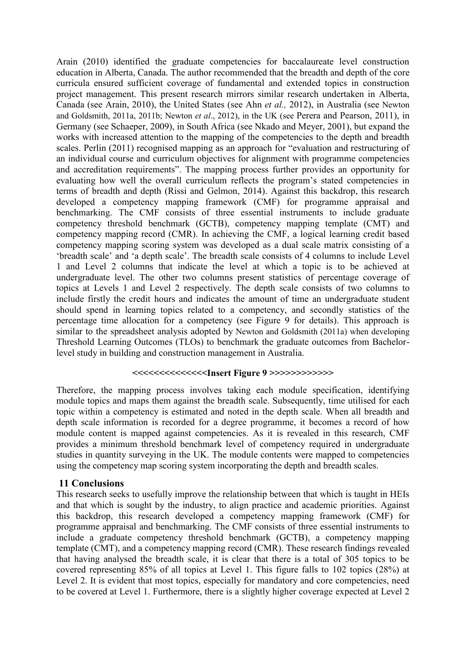Arain (2010) identified the graduate competencies for baccalaureate level construction education in Alberta, Canada. The author recommended that the breadth and depth of the core curricula ensured sufficient coverage of fundamental and extended topics in construction project management. This present research mirrors similar research undertaken in Alberta, Canada (see Arain, 2010), the United States (see Ahn *et al.,* 2012), in Australia (see Newton and Goldsmith, 2011a, 2011b; Newton *et al*., 2012), in the UK (see Perera and Pearson, 2011), in Germany (see Schaeper, 2009), in South Africa (see Nkado and Meyer, 2001), but expand the works with increased attention to the mapping of the competencies to the depth and breadth scales. Perlin (2011) recognised mapping as an approach for "evaluation and restructuring of an individual course and curriculum objectives for alignment with programme competencies and accreditation requirements". The mapping process further provides an opportunity for evaluating how well the overall curriculum reflects the program's stated competencies in terms of breadth and depth (Rissi and Gelmon, 2014). Against this backdrop, this research developed a competency mapping framework (CMF) for programme appraisal and benchmarking. The CMF consists of three essential instruments to include graduate competency threshold benchmark (GCTB), competency mapping template (CMT) and competency mapping record (CMR). In achieving the CMF, a logical learning credit based competency mapping scoring system was developed as a dual scale matrix consisting of a 'breadth scale' and 'a depth scale'. The breadth scale consists of 4 columns to include Level 1 and Level 2 columns that indicate the level at which a topic is to be achieved at undergraduate level. The other two columns present statistics of percentage coverage of topics at Levels 1 and Level 2 respectively. The depth scale consists of two columns to include firstly the credit hours and indicates the amount of time an undergraduate student should spend in learning topics related to a competency, and secondly statistics of the percentage time allocation for a competency (see Figure 9 for details). This approach is similar to the spreadsheet analysis adopted by Newton and Goldsmith (2011a) when developing Threshold Learning Outcomes (TLOs) to benchmark the graduate outcomes from Bachelorlevel study in building and construction management in Australia.

#### **<<<<<<<<<<<<<<Insert Figure 9 >>>>>>>>>>>>**

Therefore, the mapping process involves taking each module specification, identifying module topics and maps them against the breadth scale. Subsequently, time utilised for each topic within a competency is estimated and noted in the depth scale. When all breadth and depth scale information is recorded for a degree programme, it becomes a record of how module content is mapped against competencies. As it is revealed in this research, CMF provides a minimum threshold benchmark level of competency required in undergraduate studies in quantity surveying in the UK. The module contents were mapped to competencies using the competency map scoring system incorporating the depth and breadth scales.

#### **11 Conclusions**

This research seeks to usefully improve the relationship between that which is taught in HEIs and that which is sought by the industry, to align practice and academic priorities. Against this backdrop, this research developed a competency mapping framework (CMF) for programme appraisal and benchmarking. The CMF consists of three essential instruments to include a graduate competency threshold benchmark (GCTB), a competency mapping template (CMT), and a competency mapping record (CMR). These research findings revealed that having analysed the breadth scale, it is clear that there is a total of 305 topics to be covered representing 85% of all topics at Level 1. This figure falls to 102 topics (28%) at Level 2. It is evident that most topics, especially for mandatory and core competencies, need to be covered at Level 1. Furthermore, there is a slightly higher coverage expected at Level 2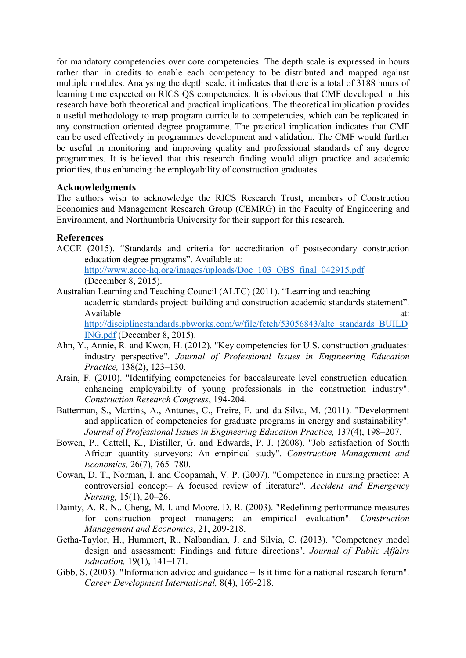for mandatory competencies over core competencies. The depth scale is expressed in hours rather than in credits to enable each competency to be distributed and mapped against multiple modules. Analysing the depth scale, it indicates that there is a total of 3188 hours of learning time expected on RICS QS competencies. It is obvious that CMF developed in this research have both theoretical and practical implications. The theoretical implication provides a useful methodology to map program curricula to competencies, which can be replicated in any construction oriented degree programme. The practical implication indicates that CMF can be used effectively in programmes development and validation. The CMF would further be useful in monitoring and improving quality and professional standards of any degree programmes. It is believed that this research finding would align practice and academic priorities, thus enhancing the employability of construction graduates.

## **Acknowledgments**

The authors wish to acknowledge the RICS Research Trust, members of Construction Economics and Management Research Group (CEMRG) in the Faculty of Engineering and Environment, and Northumbria University for their support for this research.

## **References**

ACCE (2015). "Standards and criteria for accreditation of postsecondary construction education degree programs". Available at: http://www.acce-hq.org/images/uploads/Doc\_103\_OBS\_final\_042915.pdf

(December 8, 2015).

- Australian Learning and Teaching Council (ALTC) (2011). "Learning and teaching
	- academic standards project: building and construction academic standards statement". Available at:  $\alpha$

[http://disciplinestandards.pbworks.com/w/file/fetch/53056843/altc\\_standards\\_BUILD](http://disciplinestandards.pbworks.com/w/file/fetch/53056843/altc_standards_BUILDING.pdf) [ING.pdf](http://disciplinestandards.pbworks.com/w/file/fetch/53056843/altc_standards_BUILDING.pdf) (December 8, 2015).

- Ahn, Y., Annie, R. and Kwon, H. (2012). "Key competencies for U.S. construction graduates: industry perspective". *Journal of Professional Issues in Engineering Education Practice,* 138(2), 123–130.
- Arain, F. (2010). "Identifying competencies for baccalaureate level construction education: enhancing employability of young professionals in the construction industry". *Construction Research Congress*, 194-204.
- Batterman, S., Martins, A., Antunes, C., Freire, F. and da Silva, M. (2011). "Development and application of competencies for graduate programs in energy and sustainability". *Journal of Professional Issues in Engineering Education Practice,* 137(4), 198–207.
- Bowen, P., Cattell, K., Distiller, G. and Edwards, P. J. (2008). "Job satisfaction of South African quantity surveyors: An empirical study". *Construction Management and Economics,* 26(7), 765–780.
- Cowan, D. T., Norman, I. and Coopamah, V. P. (2007). "Competence in nursing practice: A controversial concept– A focused review of literature". *Accident and Emergency Nursing,* 15(1), 20–26.
- Dainty, A. R. N., Cheng, M. I. and Moore, D. R. (2003). "Redefining performance measures for construction project managers: an empirical evaluation". *Construction Management and Economics,* 21, 209-218.
- Getha-Taylor, H., Hummert, R., Nalbandian, J. and Silvia, C. (2013). "Competency model design and assessment: Findings and future directions". *Journal of Public Affairs Education,* 19(1), 141–171.
- Gibb, S. (2003). "Information advice and guidance Is it time for a national research forum". *Career Development International,* 8(4), 169-218.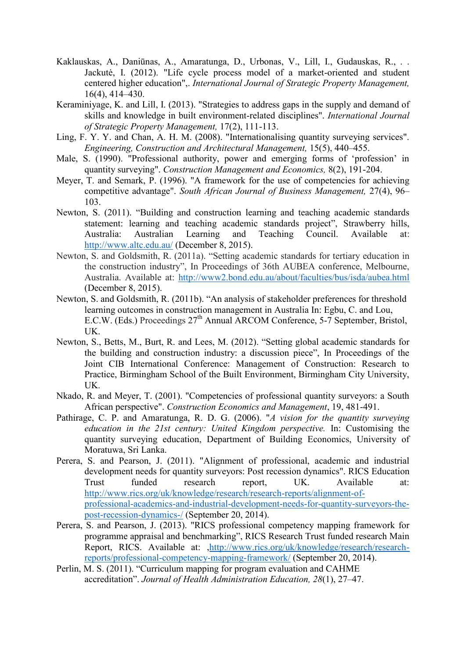- Kaklauskas, A., Daniūnas, A., Amaratunga, D., Urbonas, V., Lill, I., Gudauskas, R., . . Jackutė, I. (2012). "Life cycle process model of a market-oriented and student centered higher education",. *International Journal of Strategic Property Management,*  16(4), 414–430.
- Keraminiyage, K. and Lill, I. (2013). "Strategies to address gaps in the supply and demand of skills and knowledge in built environment-related disciplines". *International Journal of Strategic Property Management,* 17(2), 111-113.
- Ling, F. Y. Y. and Chan, A. H. M. (2008). "Internationalising quantity surveying services". *Engineering, Construction and Architectural Management,* 15(5), 440–455.
- Male, S. (1990). "Professional authority, power and emerging forms of 'profession' in quantity surveying". *Construction Management and Economics,* 8(2), 191-204.
- Meyer, T. and Semark, P. (1996). "A framework for the use of competencies for achieving competitive advantage". *South African Journal of Business Management,* 27(4), 96– 103.
- Newton, S. (2011). "Building and construction learning and teaching academic standards statement: learning and teaching academic standards project", Strawberry hills, Australia: Australian Learning and Teaching Council. Available at: <http://www.altc.edu.au/> (December 8, 2015).
- Newton, S. and Goldsmith, R. (2011a). "Setting academic standards for tertiary education in the construction industry", In Proceedings of 36th AUBEA conference, Melbourne, Australia. Available at:<http://www2.bond.edu.au/about/faculties/bus/isda/aubea.html> (December 8, 2015).
- Newton, S. and Goldsmith, R. (2011b). "An analysis of stakeholder preferences for threshold learning outcomes in construction management in Australia In: Egbu, C. and Lou, E.C.W. (Eds.) Proceedings 27<sup>th</sup> Annual ARCOM Conference, 5-7 September, Bristol, UK.
- Newton, S., Betts, M., Burt, R. and Lees, M. (2012). "Setting global academic standards for the building and construction industry: a discussion piece", In Proceedings of the Joint CIB International Conference: Management of Construction: Research to Practice, Birmingham School of the Built Environment, Birmingham City University, UK.
- Nkado, R. and Meyer, T. (2001). "Competencies of professional quantity surveyors: a South African perspective". *Construction Economics and Management*, 19, 481-491.
- Pathirage, C. P. and Amaratunga, R. D. G. (2006). "*A vision for the quantity surveying education in the 21st century: United Kingdom perspective.* In: Customising the quantity surveying education, Department of Building Economics, University of Moratuwa, Sri Lanka.
- Perera, S. and Pearson, J. (2011). "Alignment of professional, academic and industrial development needs for quantity surveyors: Post recession dynamics". RICS Education Trust funded research report, UK. Available at: [http://www.rics.org/uk/knowledge/research/research-reports/alignment-of](http://www.rics.org/uk/knowledge/research/research-reports/alignment-of-professional-academics-and-industrial-development-needs-for-quantity-surveyors-the-post-recession-dynamics-/)[professional-academics-and-industrial-development-needs-for-quantity-surveyors-the](http://www.rics.org/uk/knowledge/research/research-reports/alignment-of-professional-academics-and-industrial-development-needs-for-quantity-surveyors-the-post-recession-dynamics-/)[post-recession-dynamics-/](http://www.rics.org/uk/knowledge/research/research-reports/alignment-of-professional-academics-and-industrial-development-needs-for-quantity-surveyors-the-post-recession-dynamics-/) (September 20, 2014).
- Perera, S. and Pearson, J. (2013). "RICS professional competency mapping framework for programme appraisal and benchmarking", RICS Research Trust funded research Main Report, RICS. Available at: [,http://www.rics.org/uk/knowledge/research/research](http://www.rics.org/uk/knowledge/research/research-reports/professional-competency-mapping-framework/)[reports/professional-competency-mapping-framework/](http://www.rics.org/uk/knowledge/research/research-reports/professional-competency-mapping-framework/) (September 20, 2014).
- Perlin, M. S. (2011). "Curriculum mapping for program evaluation and CAHME accreditation". *Journal of Health Administration Education, 28*(1), 27–47.